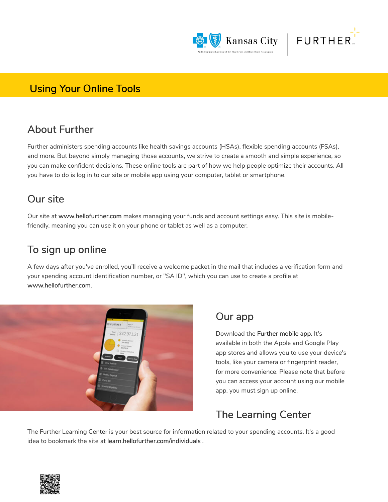



#### **Using Your Online Tools**

#### About Further

Further administers spending accounts like health savings accounts (HSAs), flexible spending accounts (FSAs), and more. But beyond simply managing those accounts, we strive to create a smooth and simple experience, so you can make confident decisions. These online tools are part of how we help people optimize their accounts. All you have to do is log in to our site or mobile app using your computer, tablet or smartphone.

### Our site

Our site at www.hellofurther.com makes managing your funds and account settings easy. This site is mobilefriendly, meaning you can use it on your phone or tablet as well as a computer.

### To sign up online

A few days after you've enrolled, you'll receive a welcome packet in the mail that includes a verification form and your spending account identification number, or "SA ID", which you can use to create a profile at www.hellofurther.com.



#### Our app

Download the Further mobile app. It's available in both the Apple and Google Play app stores and allows you to use your device's tools, like your camera or fingerprint reader, for more convenience. Please note that before you can access your account using our mobile app, you must sign up online.

# The Learning Center

The Further Learning Center is your best source for information related to your spending accounts. It's a good idea to bookmark the site at learn.hellofurther.com/individuals .